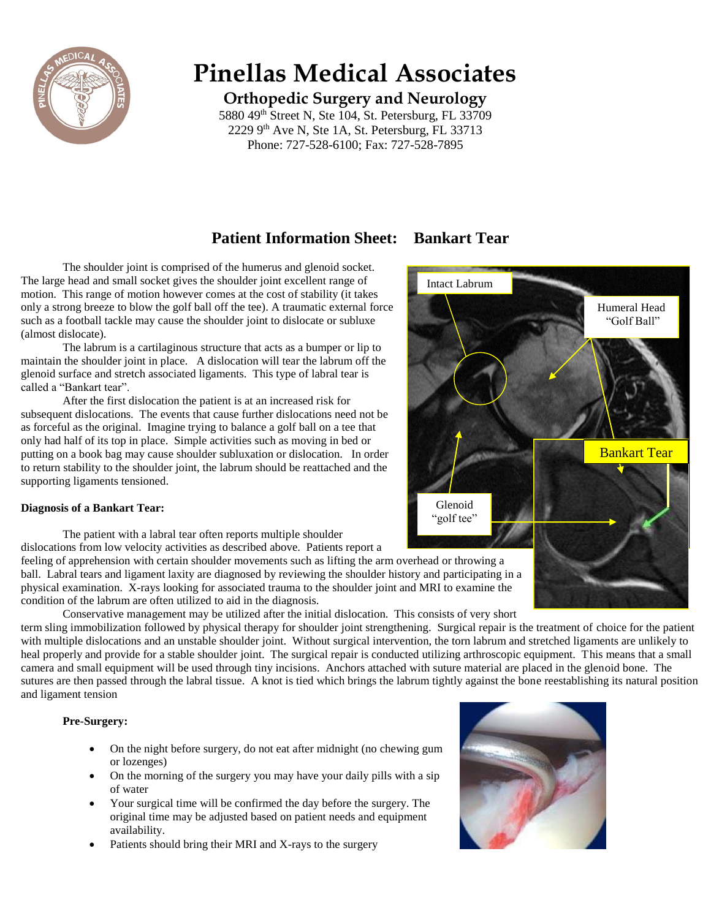

# **Pinellas Medical Associates**

**Orthopedic Surgery and Neurology**

5880 49<sup>th</sup> Street N, Ste 104, St. Petersburg, FL 33709  $2229$  9<sup>th</sup> Ave N, Ste 1A, St. Petersburg, FL 33713 Phone: 727-528-6100; Fax: 727-528-7895

# **Patient Information Sheet: Bankart Tear**

The shoulder joint is comprised of the humerus and glenoid socket. The large head and small socket gives the shoulder joint excellent range of motion. This range of motion however comes at the cost of stability (it takes only a strong breeze to blow the golf ball off the tee). A traumatic external force such as a football tackle may cause the shoulder joint to dislocate or subluxe (almost dislocate).

The labrum is a cartilaginous structure that acts as a bumper or lip to maintain the shoulder joint in place. A dislocation will tear the labrum off the glenoid surface and stretch associated ligaments. This type of labral tear is called a "Bankart tear".

After the first dislocation the patient is at an increased risk for subsequent dislocations. The events that cause further dislocations need not be as forceful as the original. Imagine trying to balance a golf ball on a tee that only had half of its top in place. Simple activities such as moving in bed or putting on a book bag may cause shoulder subluxation or dislocation. In order to return stability to the shoulder joint, the labrum should be reattached and the supporting ligaments tensioned.

### **Diagnosis of a Bankart Tear:**

The patient with a labral tear often reports multiple shoulder

dislocations from low velocity activities as described above. Patients report a

feeling of apprehension with certain shoulder movements such as lifting the arm overhead or throwing a ball. Labral tears and ligament laxity are diagnosed by reviewing the shoulder history and participating in a physical examination. X-rays looking for associated trauma to the shoulder joint and MRI to examine the condition of the labrum are often utilized to aid in the diagnosis.

Conservative management may be utilized after the initial dislocation. This consists of very short

term sling immobilization followed by physical therapy for shoulder joint strengthening. Surgical repair is the treatment of choice for the patient with multiple dislocations and an unstable shoulder joint. Without surgical intervention, the torn labrum and stretched ligaments are unlikely to heal properly and provide for a stable shoulder joint. The surgical repair is conducted utilizing arthroscopic equipment. This means that a small camera and small equipment will be used through tiny incisions. Anchors attached with suture material are placed in the glenoid bone. The sutures are then passed through the labral tissue. A knot is tied which brings the labrum tightly against the bone reestablishing its natural position and ligament tension

### **Pre-Surgery:**

- On the night before surgery, do not eat after midnight (no chewing gum or lozenges)
- On the morning of the surgery you may have your daily pills with a sip of water
- Your surgical time will be confirmed the day before the surgery. The original time may be adjusted based on patient needs and equipment availability.
- Patients should bring their MRI and X-rays to the surgery



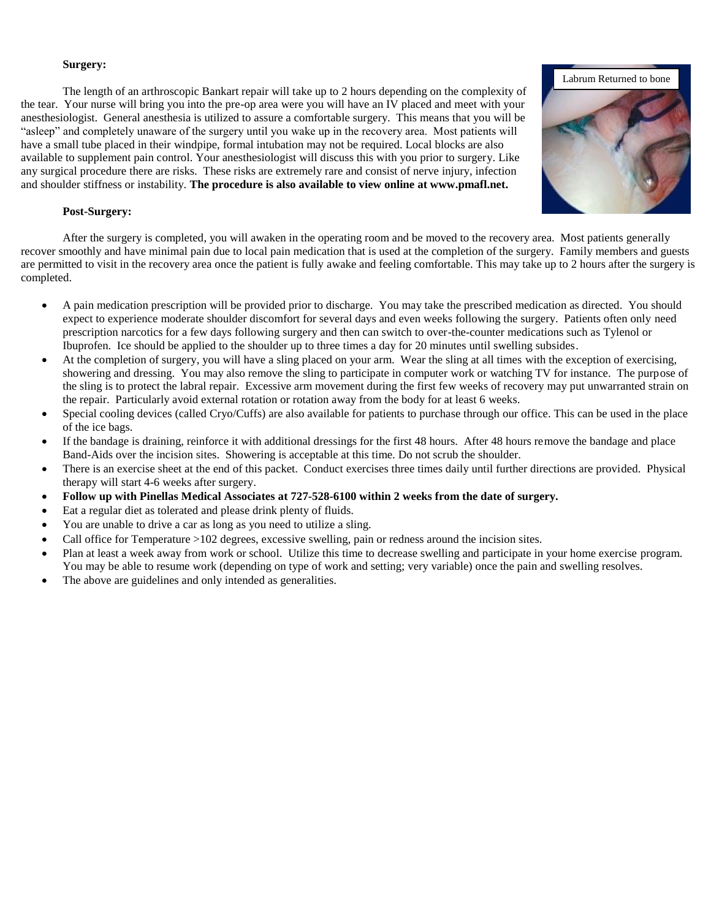#### **Surgery:**

The length of an arthroscopic Bankart repair will take up to 2 hours depending on the complexity of the tear. Your nurse will bring you into the pre-op area were you will have an IV placed and meet with your anesthesiologist. General anesthesia is utilized to assure a comfortable surgery. This means that you will be "asleep" and completely unaware of the surgery until you wake up in the recovery area. Most patients will have a small tube placed in their windpipe, formal intubation may not be required. Local blocks are also available to supplement pain control. Your anesthesiologist will discuss this with you prior to surgery. Like any surgical procedure there are risks. These risks are extremely rare and consist of nerve injury, infection and shoulder stiffness or instability. **The procedure is also available to view online at www.pmafl.net.**

#### **Post-Surgery:**

After the surgery is completed, you will awaken in the operating room and be moved to the recovery area. Most patients generally recover smoothly and have minimal pain due to local pain medication that is used at the completion of the surgery. Family members and guests are permitted to visit in the recovery area once the patient is fully awake and feeling comfortable. This may take up to 2 hours after the surgery is completed.

- A pain medication prescription will be provided prior to discharge. You may take the prescribed medication as directed. You should expect to experience moderate shoulder discomfort for several days and even weeks following the surgery. Patients often only need prescription narcotics for a few days following surgery and then can switch to over-the-counter medications such as Tylenol or Ibuprofen. Ice should be applied to the shoulder up to three times a day for 20 minutes until swelling subsides.
- At the completion of surgery, you will have a sling placed on your arm. Wear the sling at all times with the exception of exercising, showering and dressing. You may also remove the sling to participate in computer work or watching TV for instance. The purpose of the sling is to protect the labral repair. Excessive arm movement during the first few weeks of recovery may put unwarranted strain on the repair. Particularly avoid external rotation or rotation away from the body for at least 6 weeks.
- Special cooling devices (called Cryo/Cuffs) are also available for patients to purchase through our office. This can be used in the place of the ice bags.
- If the bandage is draining, reinforce it with additional dressings for the first 48 hours. After 48 hours remove the bandage and place Band-Aids over the incision sites. Showering is acceptable at this time. Do not scrub the shoulder.
- There is an exercise sheet at the end of this packet. Conduct exercises three times daily until further directions are provided. Physical therapy will start 4-6 weeks after surgery.
- **Follow up with Pinellas Medical Associates at 727-528-6100 within 2 weeks from the date of surgery.**
- Eat a regular diet as tolerated and please drink plenty of fluids.
- You are unable to drive a car as long as you need to utilize a sling.
- Call office for Temperature >102 degrees, excessive swelling, pain or redness around the incision sites.
- Plan at least a week away from work or school. Utilize this time to decrease swelling and participate in your home exercise program. You may be able to resume work (depending on type of work and setting; very variable) once the pain and swelling resolves.
- The above are guidelines and only intended as generalities.

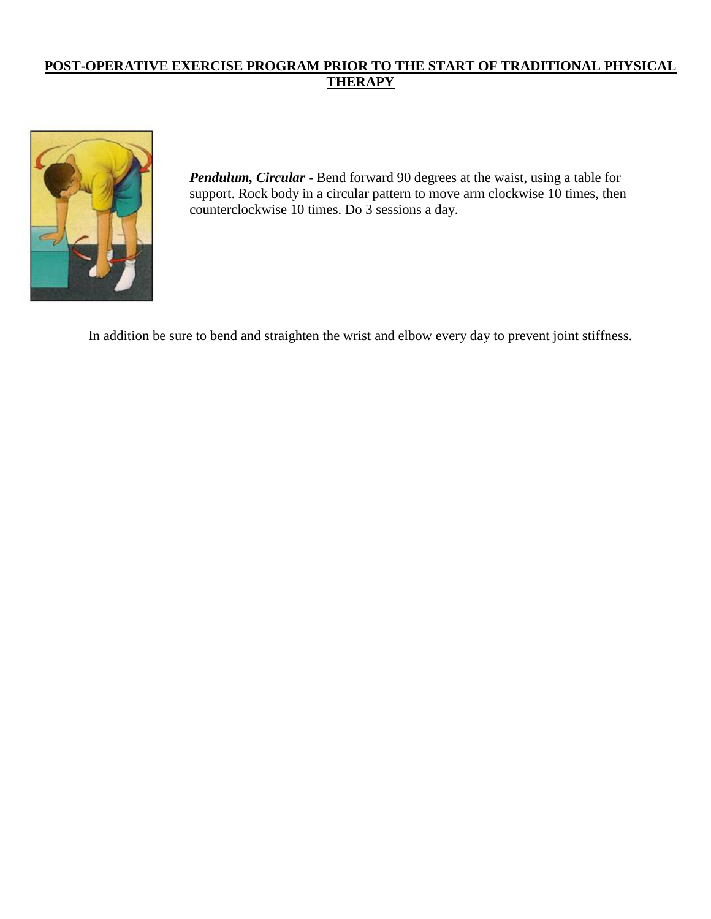# **POST-OPERATIVE EXERCISE PROGRAM PRIOR TO THE START OF TRADITIONAL PHYSICAL THERAPY**



*Pendulum, Circular* - Bend forward 90 degrees at the waist, using a table for support. Rock body in a circular pattern to move arm clockwise 10 times, then counterclockwise 10 times. Do 3 sessions a day.

In addition be sure to bend and straighten the wrist and elbow every day to prevent joint stiffness.